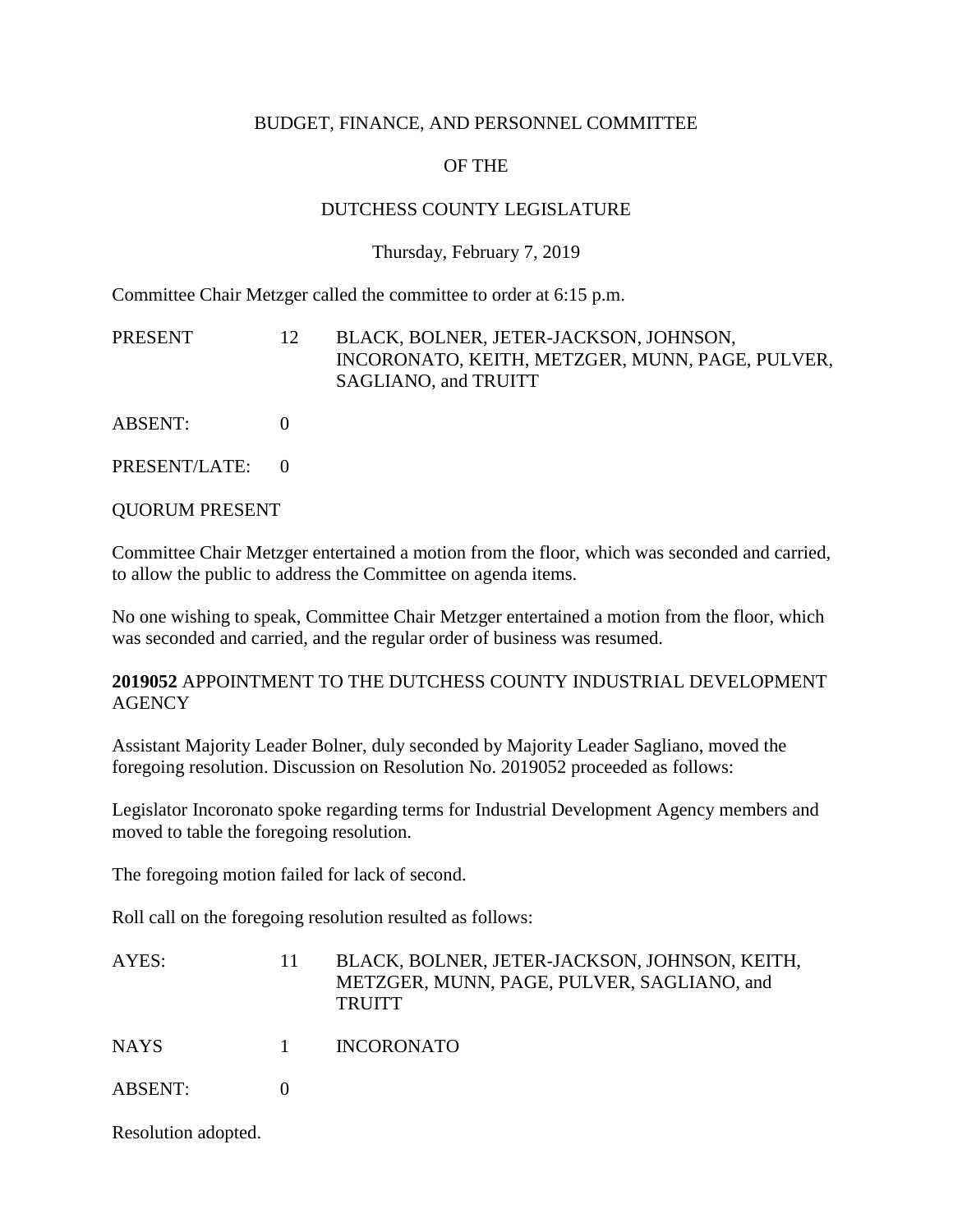### BUDGET, FINANCE, AND PERSONNEL COMMITTEE

# OF THE

### DUTCHESS COUNTY LEGISLATURE

#### Thursday, February 7, 2019

Committee Chair Metzger called the committee to order at 6:15 p.m.

| PRESENT | BLACK, BOLNER, JETER-JACKSON, JOHNSON,          |
|---------|-------------------------------------------------|
|         | INCORONATO, KEITH, METZGER, MUNN, PAGE, PULVER, |
|         | SAGLIANO, and TRUITT                            |

ABSENT: 0

PRESENT/LATE: 0

QUORUM PRESENT

Committee Chair Metzger entertained a motion from the floor, which was seconded and carried, to allow the public to address the Committee on agenda items.

No one wishing to speak, Committee Chair Metzger entertained a motion from the floor, which was seconded and carried, and the regular order of business was resumed.

**2019052** APPOINTMENT TO THE DUTCHESS COUNTY INDUSTRIAL DEVELOPMENT **AGENCY** 

Assistant Majority Leader Bolner, duly seconded by Majority Leader Sagliano, moved the foregoing resolution. Discussion on Resolution No. 2019052 proceeded as follows:

Legislator Incoronato spoke regarding terms for Industrial Development Agency members and moved to table the foregoing resolution.

The foregoing motion failed for lack of second.

Roll call on the foregoing resolution resulted as follows:

| AYES: | BLACK, BOLNER, JETER-JACKSON, JOHNSON, KEITH, |
|-------|-----------------------------------------------|
|       | METZGER, MUNN, PAGE, PULVER, SAGLIANO, and    |
|       | <b>TRUITT</b>                                 |
|       |                                               |

NAYS 1 INCORONATO

ABSENT: 0

Resolution adopted.